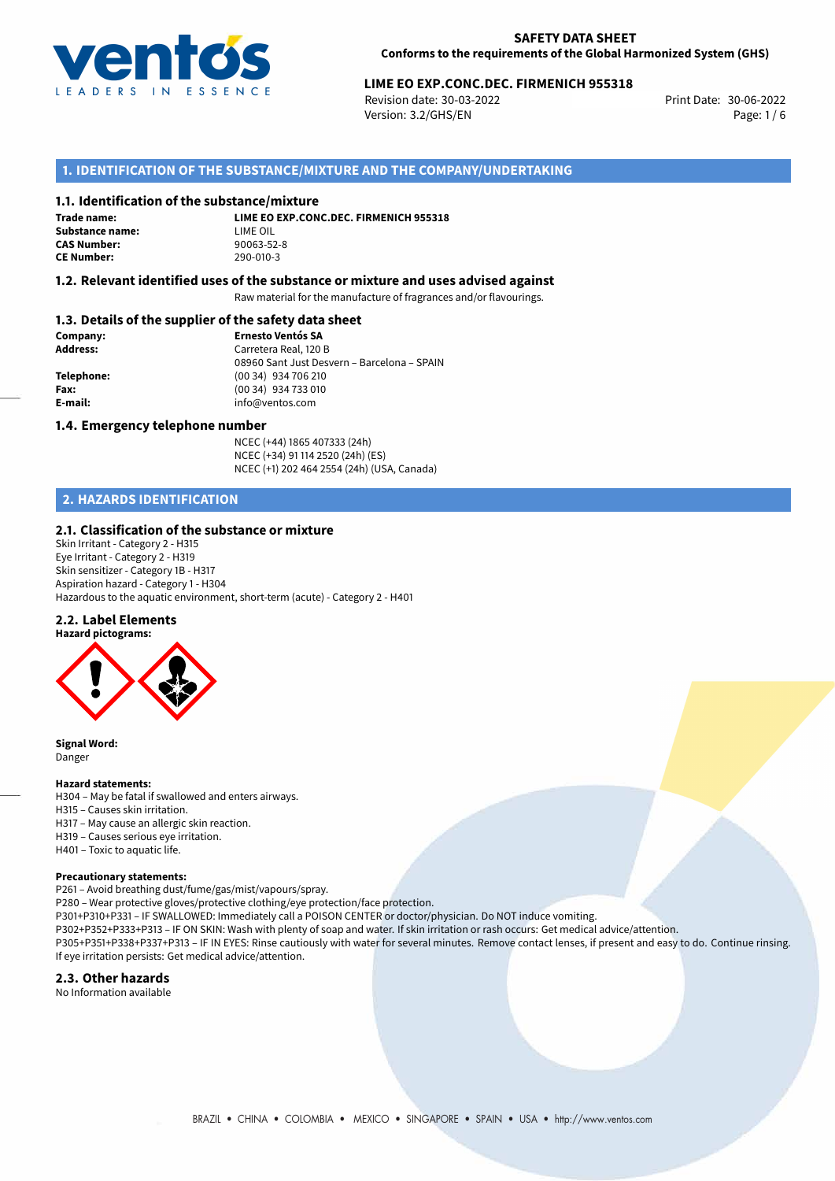

# 30-06-2022 **LIME EO EXP.CONC.DEC. FIRMENICH 955318**

Revision date: 30-03-2022 Version: 3.2/GHS/EN Page: 1/6

## **1. IDENTIFICATION OF THE SUBSTANCE/MIXTURE AND THE COMPANY/UNDERTAKING**

#### **1.1. Identification of the substance/mixture**

**Trade name: Substance name:** LIME OIL<br> **CAS Number:** 90063-52-8 **CAS Number: CE Number:** 290-010-3

**LIME EO EXP.CONC.DEC. FIRMENICH 955318**

### **1.2. Relevant identified uses of the substance or mixture and uses advised against**

Raw material for the manufacture of fragrances and/or flavourings.

## **1.3. Details of the supplier of the safety data sheet**

| Company:        | <b>Ernesto Ventós SA</b>                    |
|-----------------|---------------------------------------------|
| <b>Address:</b> | Carretera Real, 120 B                       |
|                 | 08960 Sant Just Desvern - Barcelona - SPAIN |
| Telephone:      | (00 34) 934 706 210                         |
| Fax:            | (00 34) 934 733 010                         |
| E-mail:         | info@ventos.com                             |
|                 |                                             |

#### **1.4. Emergency telephone number**

NCEC (+44) 1865 407333 (24h) NCEC (+34) 91 114 2520 (24h) (ES) NCEC (+1) 202 464 2554 (24h) (USA, Canada)

# **2. HAZARDS IDENTIFICATION**

#### **2.1. Classification of the substance or mixture**

Skin Irritant - Category 2 - H315 Eye Irritant - Category 2 - H319 Skin sensitizer - Category 1B - H317 Aspiration hazard - Category 1 - H304 Hazardous to the aquatic environment, short-term (acute) - Category 2 - H401

#### **2.2. Label Elements**



**Signal Word:** Danger

#### **Hazard statements:**

H304 – May be fatal if swallowed and enters airways. H315 – Causes skin irritation.

- H317 May cause an allergic skin reaction.
- H319 Causes serious eye irritation.
- H401 Toxic to aquatic life.

#### **Precautionary statements:**

P261 – Avoid breathing dust/fume/gas/mist/vapours/spray.

P280 – Wear protective gloves/protective clothing/eye protection/face protection.

P301+P310+P331 – IF SWALLOWED: Immediately call a POISON CENTER or doctor/physician. Do NOT induce vomiting.

P302+P352+P333+P313 – IF ON SKIN: Wash with plenty of soap and water. If skin irritation or rash occurs: Get medical advice/attention. P305+P351+P338+P337+P313 – IF IN EYES: Rinse cautiously with water for several minutes. Remove contact lenses, if present and easy to do. Continue rinsing.

If eye irritation persists: Get medical advice/attention.

## **2.3. Other hazards**

No Information available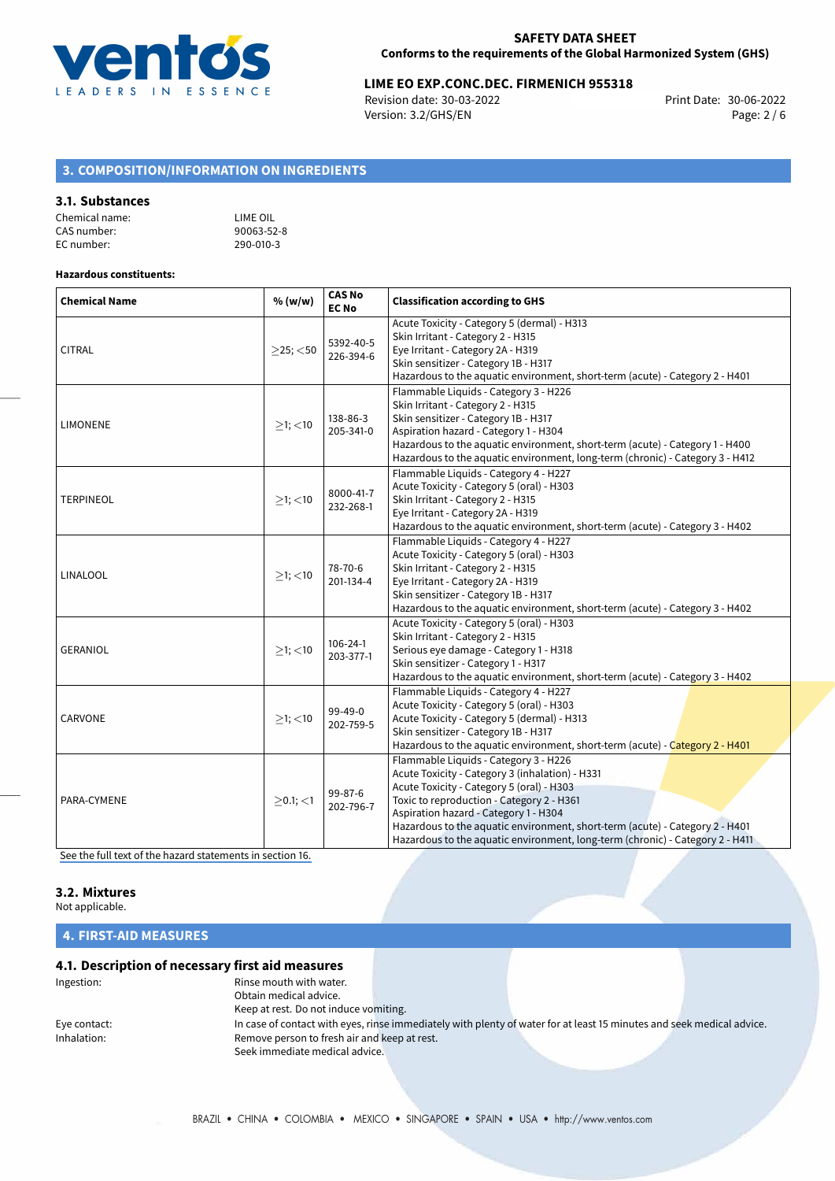

# **LIME EO EXP.CONC.DEC. FIRMENICH 955318**<br>Revision date: 30-03-2022 Print Date: 30-06-2022

Revision date: 30-03-2022 Version: 3.2/GHS/EN Page: 2 / 6

# **3. COMPOSITION/INFORMATION ON INGREDIENTS**

#### **3.1. Substances**

| Chemical name: | LIME OIL   |
|----------------|------------|
| CAS number:    | 90063-52-8 |
| EC number:     | 290-010-3  |

## **Hazardous constituents:**

| <b>Chemical Name</b> | % (w/w)        | <b>CAS No</b><br><b>EC No</b> | <b>Classification according to GHS</b>                                                                                                                                                                                                                                                                                                                                                       |
|----------------------|----------------|-------------------------------|----------------------------------------------------------------------------------------------------------------------------------------------------------------------------------------------------------------------------------------------------------------------------------------------------------------------------------------------------------------------------------------------|
| <b>CITRAL</b>        | $>$ 25; $<$ 50 | 5392-40-5<br>226-394-6        | Acute Toxicity - Category 5 (dermal) - H313<br>Skin Irritant - Category 2 - H315<br>Eye Irritant - Category 2A - H319<br>Skin sensitizer - Category 1B - H317<br>Hazardous to the aquatic environment, short-term (acute) - Category 2 - H401                                                                                                                                                |
| <b>LIMONENE</b>      | $>1$ ; $<$ 10  | 138-86-3<br>205-341-0         | Flammable Liquids - Category 3 - H226<br>Skin Irritant - Category 2 - H315<br>Skin sensitizer - Category 1B - H317<br>Aspiration hazard - Category 1 - H304<br>Hazardous to the aquatic environment, short-term (acute) - Category 1 - H400<br>Hazardous to the aquatic environment, long-term (chronic) - Category 3 - H412                                                                 |
| <b>TERPINEOL</b>     | $>1$ ; $<$ 10  | 8000-41-7<br>232-268-1        | Flammable Liquids - Category 4 - H227<br>Acute Toxicity - Category 5 (oral) - H303<br>Skin Irritant - Category 2 - H315<br>Eye Irritant - Category 2A - H319<br>Hazardous to the aquatic environment, short-term (acute) - Category 3 - H402                                                                                                                                                 |
| LINALOOL             | $>1$ ; $<$ 10  | 78-70-6<br>201-134-4          | Flammable Liquids - Category 4 - H227<br>Acute Toxicity - Category 5 (oral) - H303<br>Skin Irritant - Category 2 - H315<br>Eye Irritant - Category 2A - H319<br>Skin sensitizer - Category 1B - H317<br>Hazardous to the aquatic environment, short-term (acute) - Category 3 - H402                                                                                                         |
| <b>GERANIOL</b>      | $>1$ ; $<$ 10  | $106 - 24 - 1$<br>203-377-1   | Acute Toxicity - Category 5 (oral) - H303<br>Skin Irritant - Category 2 - H315<br>Serious eye damage - Category 1 - H318<br>Skin sensitizer - Category 1 - H317<br>Hazardous to the aquatic environment, short-term (acute) - Category 3 - H402                                                                                                                                              |
| CARVONE              | $\geq$ 1; <10  | 99-49-0<br>202-759-5          | Flammable Liquids - Category 4 - H227<br>Acute Toxicity - Category 5 (oral) - H303<br>Acute Toxicity - Category 5 (dermal) - H313<br>Skin sensitizer - Category 1B - H317<br>Hazardous to the aquatic environment, short-term (acute) - Category 2 - H401                                                                                                                                    |
| PARA-CYMENE          | $>0.1$ ; <1    | 99-87-6<br>202-796-7          | Flammable Liquids - Category 3 - H226<br>Acute Toxicity - Category 3 (inhalation) - H331<br>Acute Toxicity - Category 5 (oral) - H303<br>Toxic to reproduction - Category 2 - H361<br>Aspiration hazard - Category 1 - H304<br>Hazardous to the aquatic environment, short-term (acute) - Category 2 - H401<br>Hazardous to the aquatic environment, long-term (chronic) - Category 2 - H411 |

[See the full text of the hazard statements in section 16.](#page-4-0)

# **3.2. Mixtures**

Not applicable.

**4. FIRST-AID MEASURES**

## **4.1. Description of necessary first aid measures**

| Ingestion:   | Rinse mouth with water.                      |                                                                                                                       |  |
|--------------|----------------------------------------------|-----------------------------------------------------------------------------------------------------------------------|--|
|              | Obtain medical advice.                       |                                                                                                                       |  |
|              | Keep at rest. Do not induce vomiting.        |                                                                                                                       |  |
| Eye contact: |                                              | In case of contact with eyes, rinse immediately with plenty of water for at least 15 minutes and seek medical advice. |  |
| Inhalation:  | Remove person to fresh air and keep at rest. |                                                                                                                       |  |
|              | Seek immediate medical advice.               |                                                                                                                       |  |
|              |                                              |                                                                                                                       |  |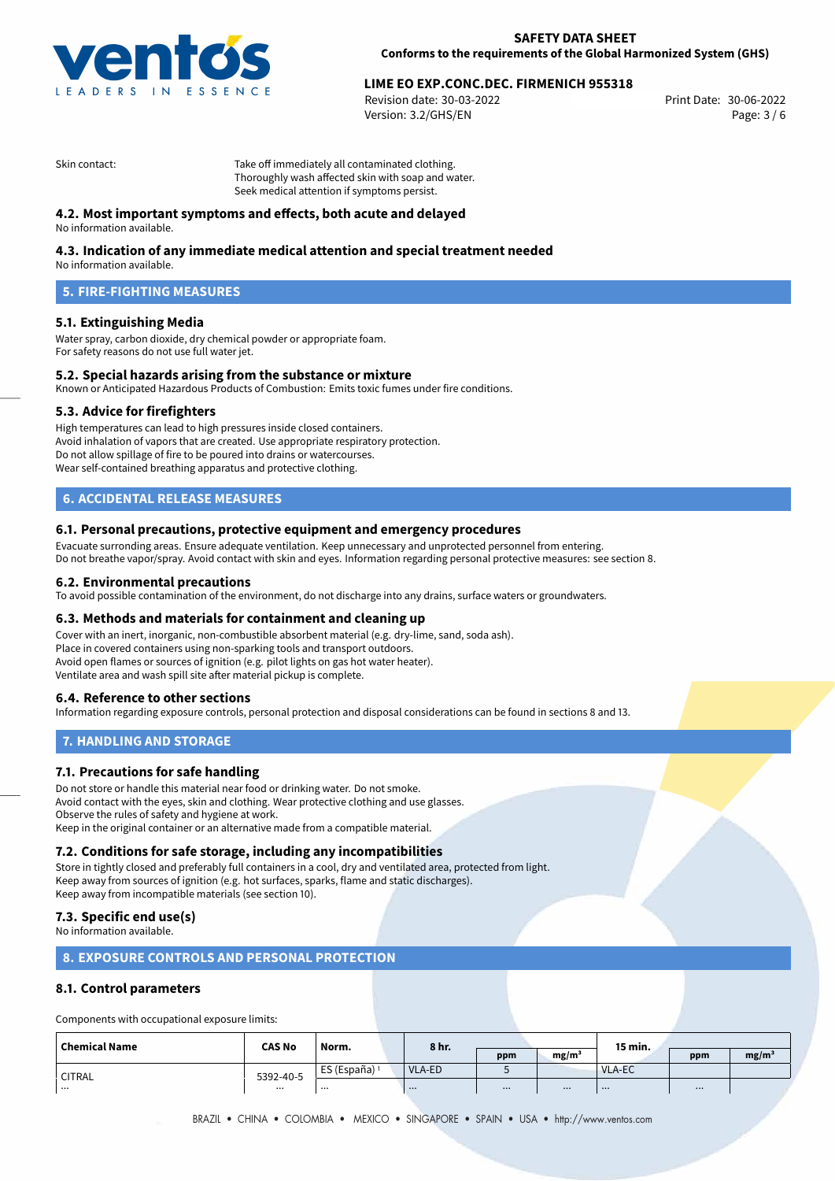

# 30-06-2022 **LIME EO EXP.CONC.DEC. FIRMENICH 955318**

Revision date: 30-03-2022 Version: 3.2/GHS/EN Page: 3 / 6

Skin contact: Take off immediately all contaminated clothing. Thoroughly wash affected skin with soap and water. Seek medical attention if symptoms persist.

## **4.2. Most important symptoms and effects, both acute and delayed**

No information available.

## **4.3. Indication of any immediate medical attention and special treatment needed**

No information available.

# **5. FIRE-FIGHTING MEASURES**

## **5.1. Extinguishing Media**

Water spray, carbon dioxide, dry chemical powder or appropriate foam. For safety reasons do not use full water jet.

## **5.2. Special hazards arising from the substance or mixture**

Known or Anticipated Hazardous Products of Combustion: Emits toxic fumes under fire conditions.

## **5.3. Advice for firefighters**

High temperatures can lead to high pressures inside closed containers. Avoid inhalation of vapors that are created. Use appropriate respiratory protection. Do not allow spillage of fire to be poured into drains or watercourses. Wear self-contained breathing apparatus and protective clothing.

# **6. ACCIDENTAL RELEASE MEASURES**

#### **6.1. Personal precautions, protective equipment and emergency procedures**

Evacuate surronding areas. Ensure adequate ventilation. Keep unnecessary and unprotected personnel from entering. Do not breathe vapor/spray. Avoid contact with skin and eyes. Information regarding personal protective measures: see section 8.

#### **6.2. Environmental precautions**

To avoid possible contamination of the environment, do not discharge into any drains, surface waters or groundwaters.

## **6.3. Methods and materials for containment and cleaning up**

Cover with an inert, inorganic, non-combustible absorbent material (e.g. dry-lime, sand, soda ash). Place in covered containers using non-sparking tools and transport outdoors. Avoid open flames or sources of ignition (e.g. pilot lights on gas hot water heater). Ventilate area and wash spill site after material pickup is complete.

## **6.4. Reference to other sections**

Information regarding exposure controls, personal protection and disposal considerations can be found in sections 8 and 13.

## **7. HANDLING AND STORAGE**

## **7.1. Precautions for safe handling**

Do not store or handle this material near food or drinking water. Do not smoke. Avoid contact with the eyes, skin and clothing. Wear protective clothing and use glasses. Observe the rules of safety and hygiene at work. Keep in the original container or an alternative made from a compatible material.

## **7.2. Conditions for safe storage, including any incompatibilities**

Store in tightly closed and preferably full containers in a cool, dry and ventilated area, protected from light. Keep away from sources of ignition (e.g. hot surfaces, sparks, flame and static discharges). Keep away from incompatible materials (see section 10).

## **7.3. Specific end use(s)**

No information available.

## **8. EXPOSURE CONTROLS AND PERSONAL PROTECTION**

## **8.1. Control parameters**

Components with occupational exposure limits:

| <b>Chemical Name</b> | <b>CAS No</b> | 8 hr.<br>Norm. |               |     | 15 min.           |        |     |                   |
|----------------------|---------------|----------------|---------------|-----|-------------------|--------|-----|-------------------|
|                      |               |                |               | ppm | mg/m <sup>3</sup> |        | ppm | mg/m <sup>3</sup> |
| <b>CITRAL</b>        | 5392-40-5     | ES (España)    | <b>VLA-ED</b> |     |                   | VLA-EC |     |                   |
| $\cdots$             | $\cdots$      | $\cdots$       |               |     |                   |        |     |                   |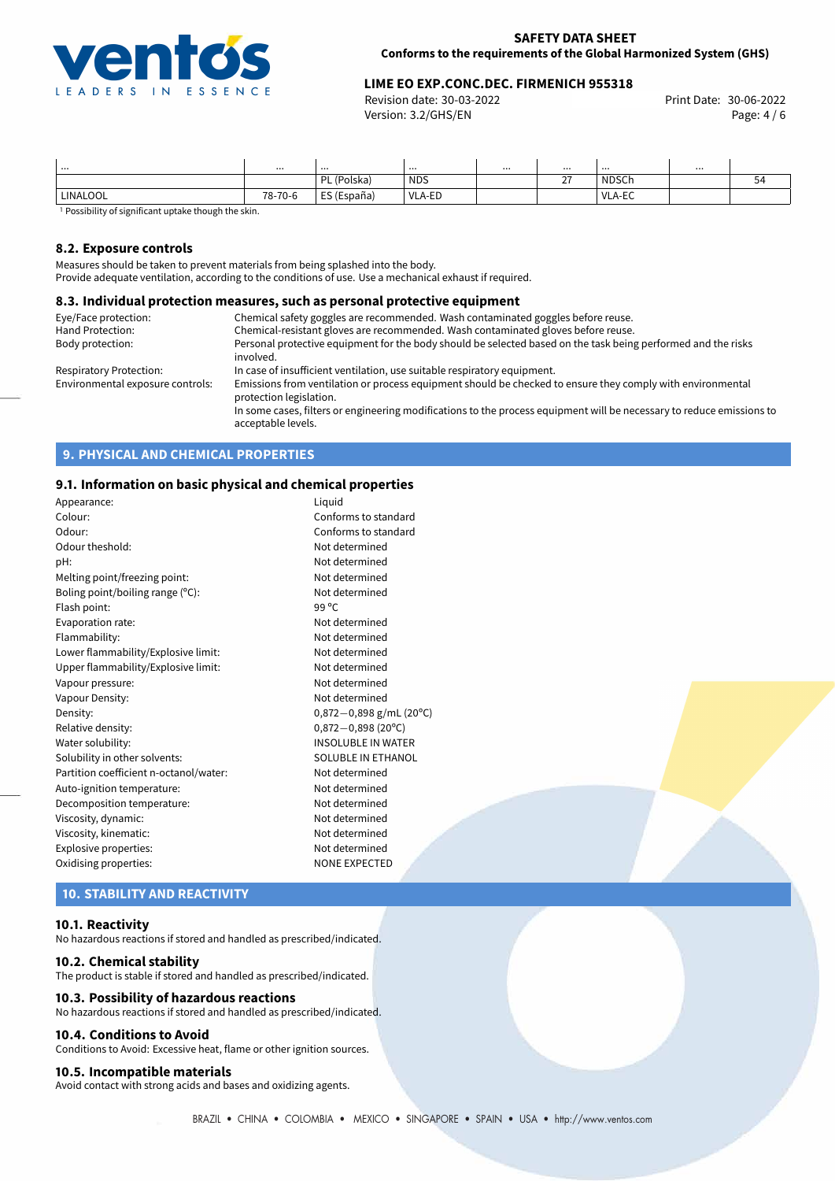

# **LIME EO EXP.CONC.DEC. FIRMENICH 955318**<br>Revision date: 30-03-2022 **CONCERNAGE REPORTS** Print Date: 30-06-2022

Revision date: 30-03-2022 Version: 3.2/GHS/EN Page: 4 / 6

| .        |         |                  |            | <br><br>$\sim$ $\sim$ $\sim$ |              |    |
|----------|---------|------------------|------------|------------------------------|--------------|----|
|          |         | L (Polska)<br>וח | <b>NDS</b> | $\sim$<br><u>.</u>           | <b>NDSCF</b> | 54 |
| LINALOOL | 78-70-6 | ES (España)      | VLA-ED     |                              | VLA-EC       |    |

<sup>1</sup> Possibility of significant uptake though the skin.

#### **8.2. Exposure controls**

Measures should be taken to prevent materials from being splashed into the body.

Provide adequate ventilation, according to the conditions of use. Use a mechanical exhaust if required.

#### **8.3. Individual protection measures, such as personal protective equipment**

| Eye/Face protection:             | Chemical safety goggles are recommended. Wash contaminated goggles before reuse.                                                            |
|----------------------------------|---------------------------------------------------------------------------------------------------------------------------------------------|
| Hand Protection:                 | Chemical-resistant gloves are recommended. Wash contaminated gloves before reuse.                                                           |
| Body protection:                 | Personal protective equipment for the body should be selected based on the task being performed and the risks<br>involved.                  |
|                                  |                                                                                                                                             |
| Respiratory Protection:          | In case of insufficient ventilation, use suitable respiratory equipment.                                                                    |
| Environmental exposure controls: | Emissions from ventilation or process equipment should be checked to ensure they comply with environmental<br>protection legislation.       |
|                                  | In some cases, filters or engineering modifications to the process equipment will be necessary to reduce emissions to<br>acceptable levels. |

## **9. PHYSICAL AND CHEMICAL PROPERTIES**

## **9.1. Information on basic physical and chemical properties**

| Appearance:                            | Liquid                    |
|----------------------------------------|---------------------------|
| Colour:                                | Conforms to standard      |
| Odour:                                 | Conforms to standard      |
| Odour theshold:                        | Not determined            |
| pH:                                    | Not determined            |
| Melting point/freezing point:          | Not determined            |
| Boling point/boiling range $(°C)$ :    | Not determined            |
| Flash point:                           | 99 °C                     |
| Evaporation rate:                      | Not determined            |
| Flammability:                          | Not determined            |
| Lower flammability/Explosive limit:    | Not determined            |
| Upper flammability/Explosive limit:    | Not determined            |
| Vapour pressure:                       | Not determined            |
| Vapour Density:                        | Not determined            |
| Density:                               | 0,872-0,898 g/mL (20°C)   |
| Relative density:                      | $0,872 - 0,898$ (20°C)    |
| Water solubility:                      | INSOLUBLE IN WATER        |
| Solubility in other solvents:          | <b>SOLUBLE IN ETHANOL</b> |
| Partition coefficient n-octanol/water: | Not determined            |
| Auto-ignition temperature:             | Not determined            |
| Decomposition temperature:             | Not determined            |
| Viscosity, dynamic:                    | Not determined            |
| Viscosity, kinematic:                  | Not determined            |
| Explosive properties:                  | Not determined            |
| Oxidising properties:                  | <b>NONE EXPECTED</b>      |
|                                        |                           |

## **10. STABILITY AND REACTIVITY**

#### **10.1. Reactivity**

No hazardous reactions if stored and handled as prescribed/indicated.

#### **10.2. Chemical stability**

The product is stable if stored and handled as prescribed/indicated.

#### **10.3. Possibility of hazardous reactions**

No hazardous reactions if stored and handled as prescribed/indicated.

#### **10.4. Conditions to Avoid**

Conditions to Avoid: Excessive heat, flame or other ignition sources.

#### **10.5. Incompatible materials**

Avoid contact with strong acids and bases and oxidizing agents.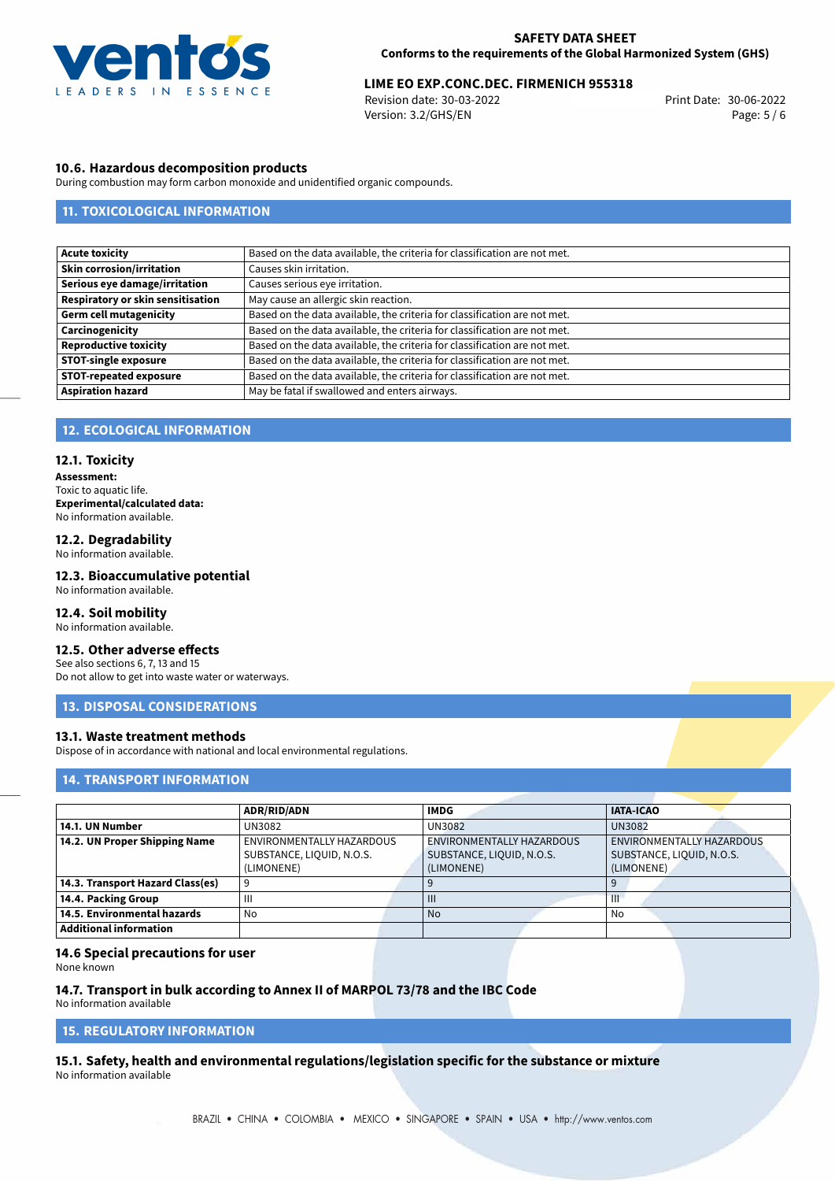

# 30-06-2022 **LIME EO EXP.CONC.DEC. FIRMENICH 955318**

Revision date: 30-03-2022 Version: 3.2/GHS/EN Page: 5 / 6

#### **10.6. Hazardous decomposition products**

During combustion may form carbon monoxide and unidentified organic compounds.

## **11. TOXICOLOGICAL INFORMATION**

| <b>Acute toxicity</b>             | Based on the data available, the criteria for classification are not met. |
|-----------------------------------|---------------------------------------------------------------------------|
| <b>Skin corrosion/irritation</b>  | Causes skin irritation.                                                   |
| Serious eye damage/irritation     | Causes serious eye irritation.                                            |
| Respiratory or skin sensitisation | May cause an allergic skin reaction.                                      |
| <b>Germ cell mutagenicity</b>     | Based on the data available, the criteria for classification are not met. |
| Carcinogenicity                   | Based on the data available, the criteria for classification are not met. |
| <b>Reproductive toxicity</b>      | Based on the data available, the criteria for classification are not met. |
| <b>STOT-single exposure</b>       | Based on the data available, the criteria for classification are not met. |
| <b>STOT-repeated exposure</b>     | Based on the data available, the criteria for classification are not met. |
| <b>Aspiration hazard</b>          | May be fatal if swallowed and enters airways.                             |

#### **12. ECOLOGICAL INFORMATION**

#### **12.1. Toxicity**

**Assessment:** Toxic to aquatic life. **Experimental/calculated data:** No information available.

#### **12.2. Degradability** No information available.

**12.3. Bioaccumulative potential** No information available.

## **12.4. Soil mobility**

No information available.

#### **12.5. Other adverse effects**

See also sections 6, 7, 13 and 15 Do not allow to get into waste water or waterways.

# **13. DISPOSAL CONSIDERATIONS**

#### **13.1. Waste treatment methods**

Dispose of in accordance with national and local environmental regulations.

## **14. TRANSPORT INFORMATION**

|                                  | <b>ADR/RID/ADN</b>        | <b>IMDG</b>               | <b>IATA-ICAO</b>          |  |  |  |  |
|----------------------------------|---------------------------|---------------------------|---------------------------|--|--|--|--|
| 14.1. UN Number                  | UN3082                    | UN3082                    | <b>UN3082</b>             |  |  |  |  |
| 14.2. UN Proper Shipping Name    | ENVIRONMENTALLY HAZARDOUS | ENVIRONMENTALLY HAZARDOUS | ENVIRONMENTALLY HAZARDOUS |  |  |  |  |
|                                  | SUBSTANCE, LIQUID, N.O.S. | SUBSTANCE, LIQUID, N.O.S. | SUBSTANCE, LIQUID, N.O.S. |  |  |  |  |
|                                  | (LIMONENE)                | (LIMONENE)                | (LIMONENE)                |  |  |  |  |
| 14.3. Transport Hazard Class(es) |                           |                           |                           |  |  |  |  |
| 14.4. Packing Group              | Ш                         | $\mathbf{III}$            | Ш                         |  |  |  |  |
| 14.5. Environmental hazards      | No                        | <b>No</b>                 | No                        |  |  |  |  |
| <b>Additional information</b>    |                           |                           |                           |  |  |  |  |

#### **14.6 Special precautions for user**

None known

#### **14.7. Transport in bulk according to Annex II of MARPOL 73/78 and the IBC Code** No information available

## **15. REGULATORY INFORMATION**

<span id="page-4-0"></span>**15.1. Safety, health and environmental regulations/legislation specific for the substance or mixture** No information available